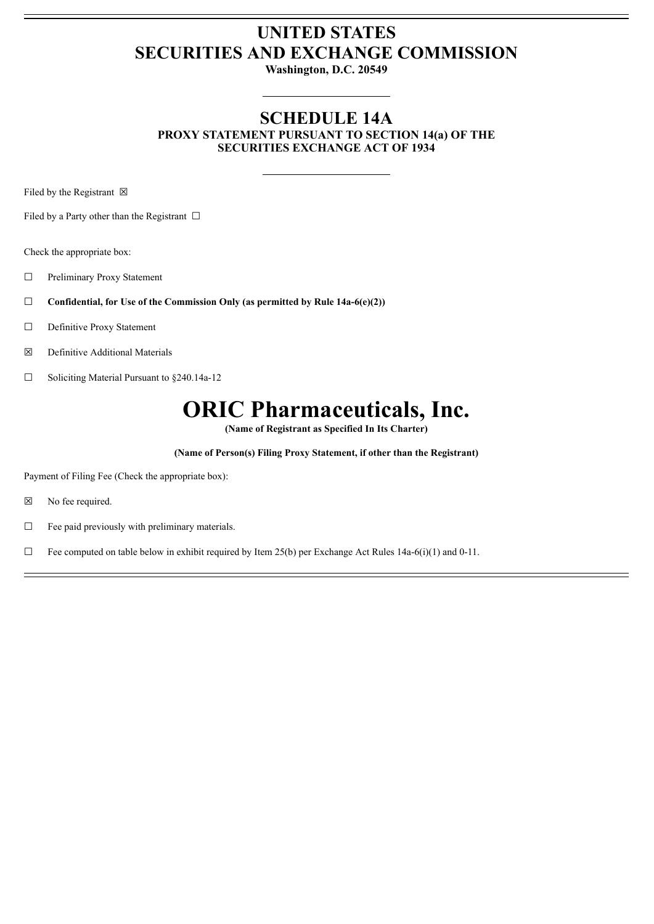## **UNITED STATES SECURITIES AND EXCHANGE COMMISSION**

**Washington, D.C. 20549**

#### **SCHEDULE 14A PROXY STATEMENT PURSUANT TO SECTION 14(a) OF THE SECURITIES EXCHANGE ACT OF 1934**

Filed by the Registrant  $\boxtimes$ 

Filed by a Party other than the Registrant  $\Box$ 

Check the appropriate box:

☐ Preliminary Proxy Statement

☐ **Confidential, for Use of the Commission Only (as permitted by Rule 14a-6(e)(2))**

☐ Definitive Proxy Statement

☒ Definitive Additional Materials

☐ Soliciting Material Pursuant to §240.14a-12

# **ORIC Pharmaceuticals, Inc.**

**(Name of Registrant as Specified In Its Charter)**

**(Name of Person(s) Filing Proxy Statement, if other than the Registrant)**

Payment of Filing Fee (Check the appropriate box):

☒ No fee required.

 $\Box$  Fee paid previously with preliminary materials.

 $\Box$  Fee computed on table below in exhibit required by Item 25(b) per Exchange Act Rules 14a-6(i)(1) and 0-11.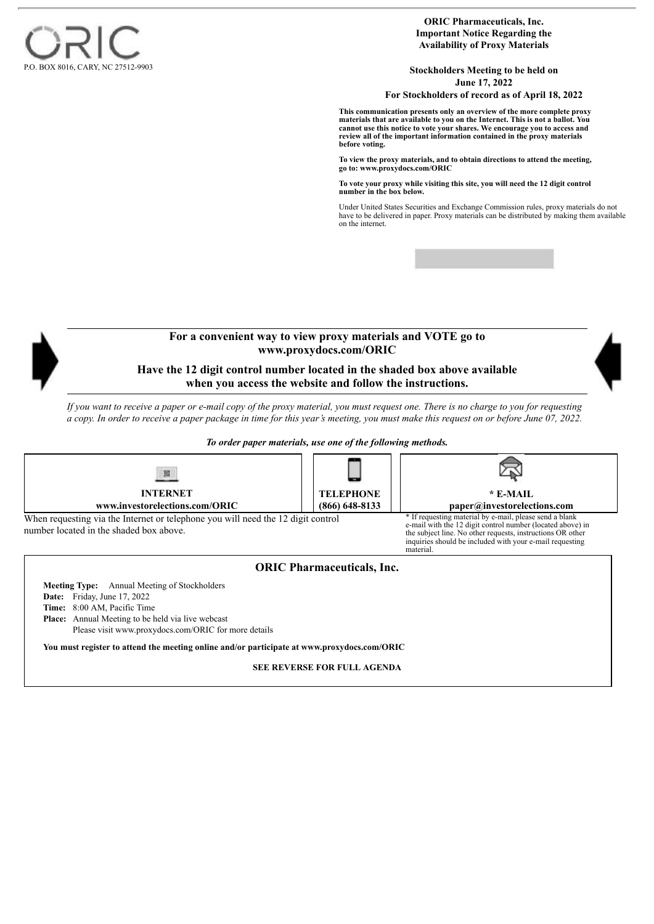

**ORIC Pharmaceuticals, Inc. Important Notice Regarding the Availability of Proxy Materials**

**Stockholders Meeting to be held on June 17, 2022 For Stockholders of record as of April 18, 2022**

**This communication presents only an overview of the more complete proxy materials that are available to you on the Internet. This is not a ballot. You cannot use this notice to vote your shares. We encourage you to access and review all of the important information contained in the proxy materials before voting.**

**To view the proxy materials, and to obtain directions to attend the meeting, go to: www.proxydocs.com/ORIC**

**To vote your proxy while visiting this site, you will need the 12 digit control number in the box below.**

Under United States Securities and Exchange Commission rules, proxy materials do not have to be delivered in paper. Proxy materials can be distributed by making them available on the internet.